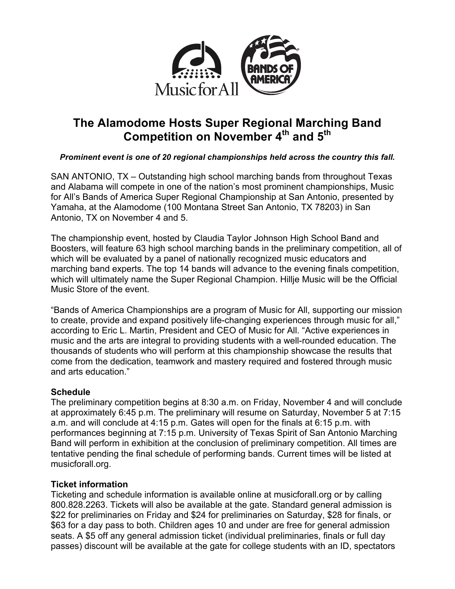

# **The Alamodome Hosts Super Regional Marching Band Competition on November 4th and 5th**

## *Prominent event is one of 20 regional championships held across the country this fall.*

SAN ANTONIO, TX – Outstanding high school marching bands from throughout Texas and Alabama will compete in one of the nation's most prominent championships, Music for All's Bands of America Super Regional Championship at San Antonio, presented by Yamaha, at the Alamodome (100 Montana Street San Antonio, TX 78203) in San Antonio, TX on November 4 and 5.

The championship event, hosted by Claudia Taylor Johnson High School Band and Boosters, will feature 63 high school marching bands in the preliminary competition, all of which will be evaluated by a panel of nationally recognized music educators and marching band experts. The top 14 bands will advance to the evening finals competition, which will ultimately name the Super Regional Champion. Hillje Music will be the Official Music Store of the event.

"Bands of America Championships are a program of Music for All, supporting our mission to create, provide and expand positively life-changing experiences through music for all," according to Eric L. Martin, President and CEO of Music for All. "Active experiences in music and the arts are integral to providing students with a well-rounded education. The thousands of students who will perform at this championship showcase the results that come from the dedication, teamwork and mastery required and fostered through music and arts education."

## **Schedule**

The preliminary competition begins at 8:30 a.m. on Friday, November 4 and will conclude at approximately 6:45 p.m. The preliminary will resume on Saturday, November 5 at 7:15 a.m. and will conclude at 4:15 p.m. Gates will open for the finals at 6:15 p.m. with performances beginning at 7:15 p.m. University of Texas Spirit of San Antonio Marching Band will perform in exhibition at the conclusion of preliminary competition. All times are tentative pending the final schedule of performing bands. Current times will be listed at musicforall.org.

# **Ticket information**

Ticketing and schedule information is available online at musicforall.org or by calling 800.828.2263. Tickets will also be available at the gate. Standard general admission is \$22 for preliminaries on Friday and \$24 for preliminaries on Saturday, \$28 for finals, or \$63 for a day pass to both. Children ages 10 and under are free for general admission seats. A \$5 off any general admission ticket (individual preliminaries, finals or full day passes) discount will be available at the gate for college students with an ID, spectators